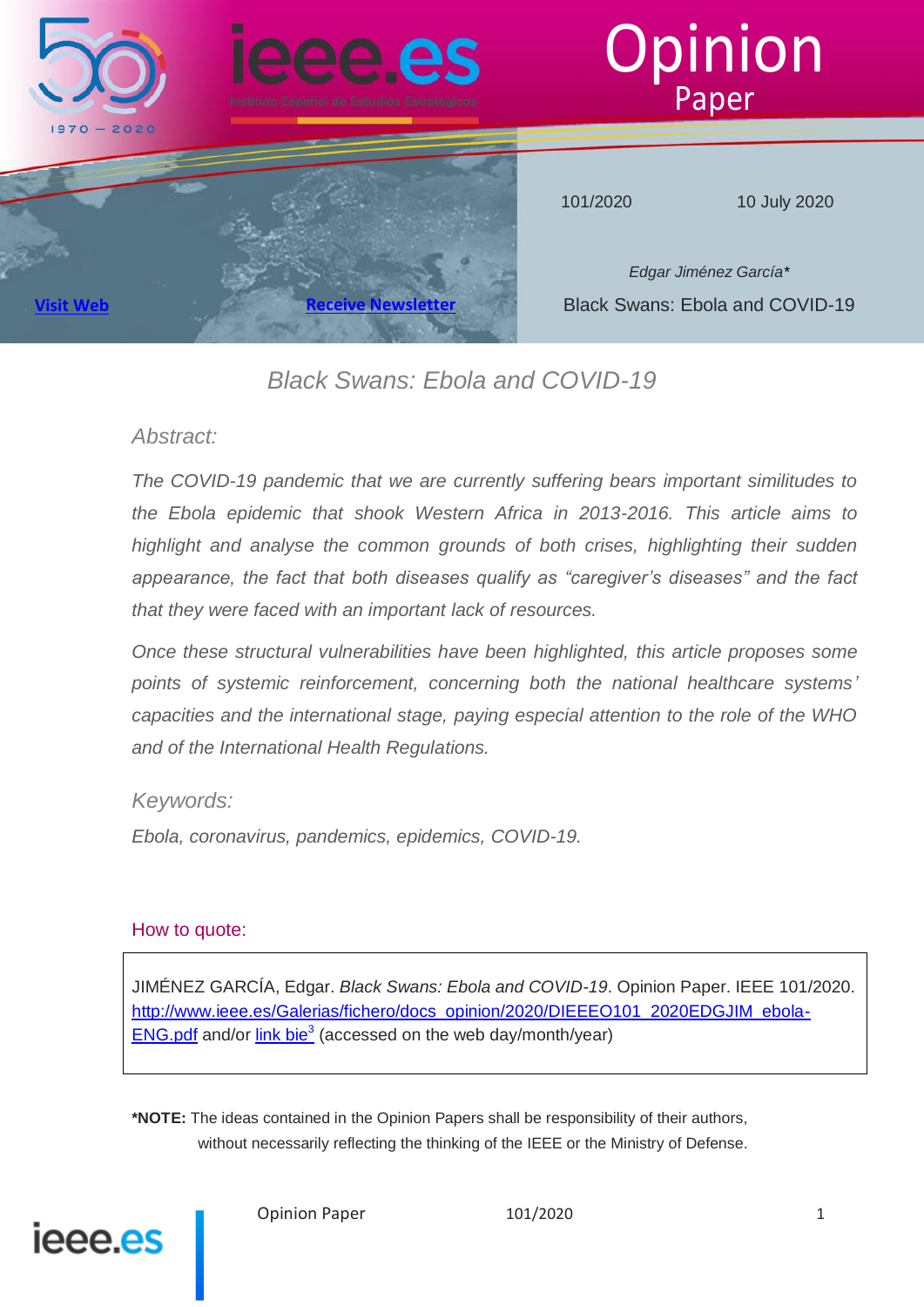

# *Black Swans: Ebola and COVID-19*

## *Abstract:*

*The COVID-19 pandemic that we are currently suffering bears important similitudes to the Ebola epidemic that shook Western Africa in 2013-2016. This article aims to highlight and analyse the common grounds of both crises, highlighting their sudden appearance, the fact that both diseases qualify as "caregiver's diseases" and the fact that they were faced with an important lack of resources.*

*Once these structural vulnerabilities have been highlighted, this article proposes some points of systemic reinforcement, concerning both the national healthcare systems' capacities and the international stage, paying especial attention to the role of the WHO and of the International Health Regulations.*

# *Keywords:*

*Ebola, coronavirus, pandemics, epidemics, COVID-19.*

## How to quote:

JIMÉNEZ GARCÍA, Edgar. *Black Swans: Ebola and COVID-19*. Opinion Paper. IEEE 101/2020. [http://www.ieee.es/Galerias/fichero/docs\\_opinion/2020/DIEEEO101\\_2020EDGJIM\\_ebola-](http://www.ieee.es/Galerias/fichero/docs_opinion/2020/DIEEEO101_2020EDGJIM_ebola-ENG.pdf)**[ENG.pdf](http://www.ieee.es/Galerias/fichero/docs_opinion/2020/DIEEEO101_2020EDGJIM_ebola-ENG.pdf)** and/or  $\frac{\text{link} \text{bie}^3}{\text{base}}$  (accessed on the web day/month/year)

**\*NOTE:** The ideas contained in the Opinion Papers shall be responsibility of their authors, without necessarily reflecting the thinking of the IEEE or the Ministry of Defense.

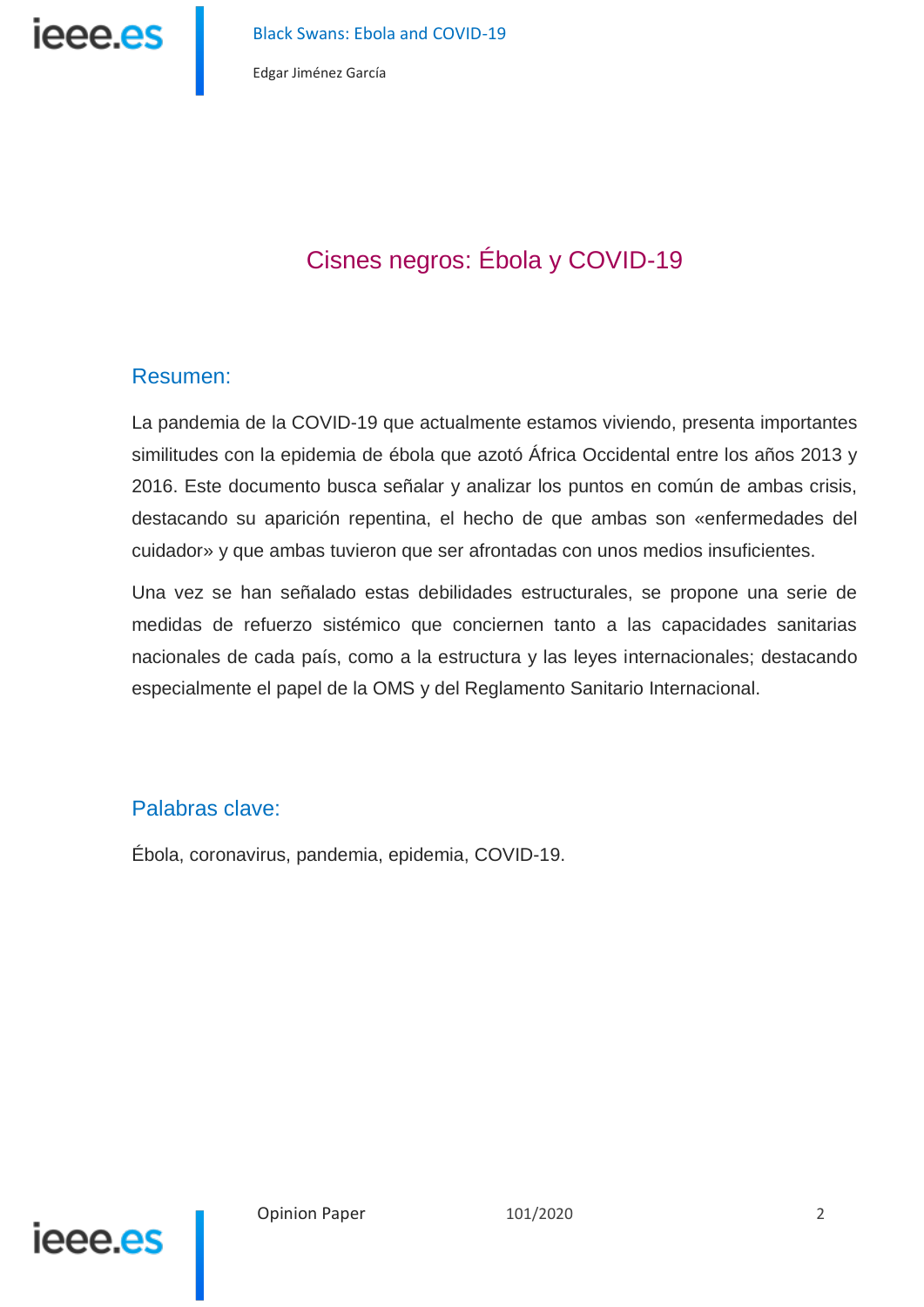

Black Swans: Ebola and COVID-19

Edgar Jiménez García

# Cisnes negros: Ébola y COVID-19

# Resumen:

La pandemia de la COVID-19 que actualmente estamos viviendo, presenta importantes similitudes con la epidemia de ébola que azotó África Occidental entre los años 2013 y 2016. Este documento busca señalar y analizar los puntos en común de ambas crisis, destacando su aparición repentina, el hecho de que ambas son «enfermedades del cuidador» y que ambas tuvieron que ser afrontadas con unos medios insuficientes.

Una vez se han señalado estas debilidades estructurales, se propone una serie de medidas de refuerzo sistémico que conciernen tanto a las capacidades sanitarias nacionales de cada país, como a la estructura y las leyes internacionales; destacando especialmente el papel de la OMS y del Reglamento Sanitario Internacional.

# Palabras clave:

Ébola, coronavirus, pandemia, epidemia, COVID-19.

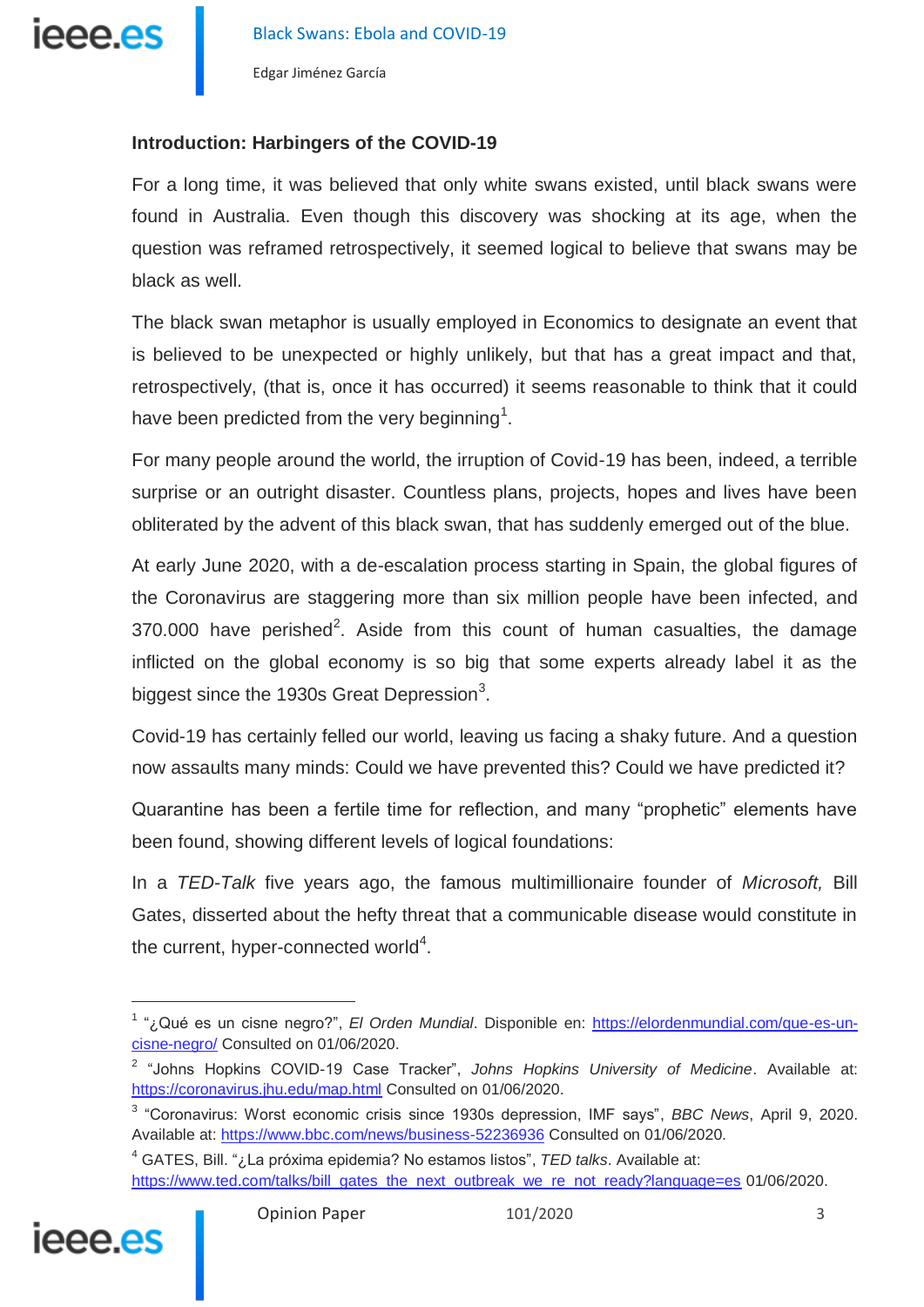

### **Introduction: Harbingers of the COVID-19**

For a long time, it was believed that only white swans existed, until black swans were found in Australia. Even though this discovery was shocking at its age, when the question was reframed retrospectively, it seemed logical to believe that swans may be black as well.

The black swan metaphor is usually employed in Economics to designate an event that is believed to be unexpected or highly unlikely, but that has a great impact and that, retrospectively, (that is, once it has occurred) it seems reasonable to think that it could have been predicted from the very beginning<sup>1</sup>.

For many people around the world, the irruption of Covid-19 has been, indeed, a terrible surprise or an outright disaster. Countless plans, projects, hopes and lives have been obliterated by the advent of this black swan, that has suddenly emerged out of the blue.

At early June 2020, with a de-escalation process starting in Spain, the global figures of the Coronavirus are staggering more than six million people have been infected, and  $370.000$  have perished<sup>2</sup>. Aside from this count of human casualties, the damage inflicted on the global economy is so big that some experts already label it as the biggest since the 1930s Great Depression<sup>3</sup>.

Covid-19 has certainly felled our world, leaving us facing a shaky future. And a question now assaults many minds: Could we have prevented this? Could we have predicted it?

Quarantine has been a fertile time for reflection, and many "prophetic" elements have been found, showing different levels of logical foundations:

In a *TED-Talk* five years ago, the famous multimillionaire founder of *Microsoft,* Bill Gates, disserted about the hefty threat that a communicable disease would constitute in the current, hyper-connected world<sup>4</sup>.

<sup>4</sup> GATES, Bill. "¿La próxima epidemia? No estamos listos", *TED talks*. Available at: [https://www.ted.com/talks/bill\\_gates\\_the\\_next\\_outbreak\\_we\\_re\\_not\\_ready?language=es](https://www.ted.com/talks/bill_gates_the_next_outbreak_we_re_not_ready?language=es) 01/06/2020.



<sup>1</sup> "¿Qué es un cisne negro?", *El Orden Mundial*. Disponible en: [https://elordenmundial.com/que-es-un](https://elordenmundial.com/que-es-un-cisne-negro/)[cisne-negro/](https://elordenmundial.com/que-es-un-cisne-negro/) Consulted on 01/06/2020.

<sup>2</sup> "Johns Hopkins COVID-19 Case Tracker", *Johns Hopkins University of Medicine*. Available at: <https://coronavirus.jhu.edu/map.html> Consulted on 01/06/2020.

<sup>3</sup> "Coronavirus: Worst economic crisis since 1930s depression, IMF says", *BBC News*, April 9, 2020. Available at:<https://www.bbc.com/news/business-52236936> Consulted on 01/06/2020.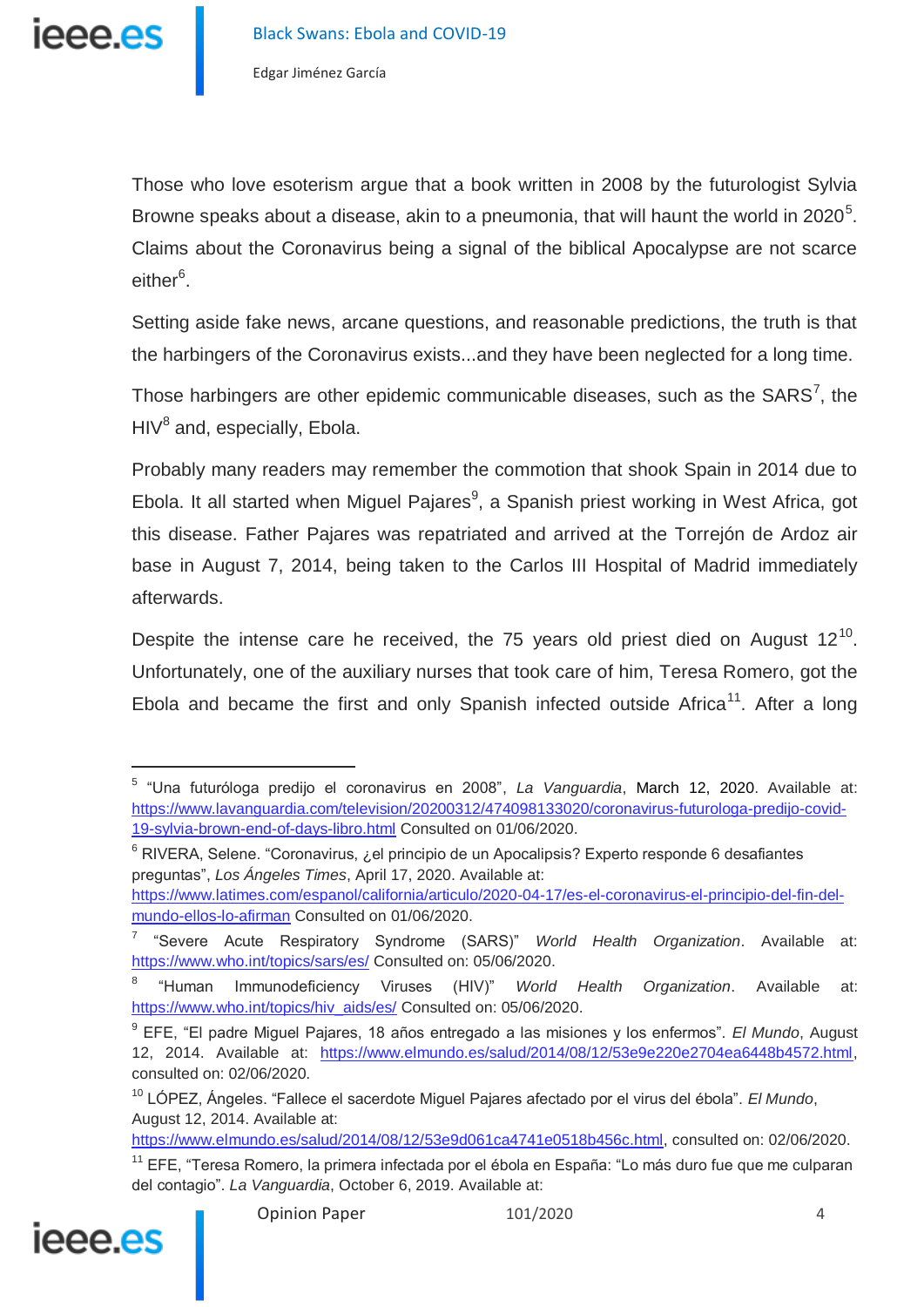Those who love esoterism argue that a book written in 2008 by the futurologist Sylvia Browne speaks about a disease, akin to a pneumonia, that will haunt the world in 2020<sup>5</sup>. Claims about the Coronavirus being a signal of the biblical Apocalypse are not scarce either<sup>6</sup>.

Setting aside fake news, arcane questions, and reasonable predictions, the truth is that the harbingers of the Coronavirus exists...and they have been neglected for a long time.

Those harbingers are other epidemic communicable diseases, such as the  $SARS^7$ , the  $HIV<sup>8</sup>$  and, especially, Ebola.

Probably many readers may remember the commotion that shook Spain in 2014 due to Ebola. It all started when Miguel Pajares<sup>9</sup>, a Spanish priest working in West Africa, got this disease. Father Pajares was repatriated and arrived at the Torrejón de Ardoz air base in August 7, 2014, being taken to the Carlos III Hospital of Madrid immediately afterwards.

Despite the intense care he received, the 75 years old priest died on August  $12^{10}$ . Unfortunately, one of the auxiliary nurses that took care of him, Teresa Romero, got the Ebola and became the first and only Spanish infected outside Africa<sup>11</sup>. After a long

<sup>&</sup>lt;sup>11</sup> EFE, "Teresa Romero, la primera infectada por el ébola en España: "Lo más duro fue que me culparan del contagio". *La Vanguardia*, October 6, 2019. Available at:



<sup>5</sup> "Una futuróloga predijo el coronavirus en 2008", *La Vanguardia*, March 12, 2020. Available at: [https://www.lavanguardia.com/television/20200312/474098133020/coronavirus-futurologa-predijo-covid-](https://www.lavanguardia.com/television/20200312/474098133020/coronavirus-futurologa-predijo-covid-19-sylvia-brown-end-of-days-libro.html)[19-sylvia-brown-end-of-days-libro.html](https://www.lavanguardia.com/television/20200312/474098133020/coronavirus-futurologa-predijo-covid-19-sylvia-brown-end-of-days-libro.html) Consulted on 01/06/2020.

 $6$  RIVERA, Selene. "Coronavirus, ¿el principio de un Apocalipsis? Experto responde 6 desafiantes preguntas", *Los Ángeles Times*, April 17, 2020. Available at:

[https://www.latimes.com/espanol/california/articulo/2020-04-17/es-el-coronavirus-el-principio-del-fin-del](https://www.latimes.com/espanol/california/articulo/2020-04-17/es-el-coronavirus-el-principio-del-fin-del-mundo-ellos-lo-afirman)[mundo-ellos-lo-afirman](https://www.latimes.com/espanol/california/articulo/2020-04-17/es-el-coronavirus-el-principio-del-fin-del-mundo-ellos-lo-afirman) Consulted on 01/06/2020.

<sup>7</sup> "Severe Acute Respiratory Syndrome (SARS)" *World Health Organization*. Available at: <https://www.who.int/topics/sars/es/> Consulted on: 05/06/2020.

<sup>8</sup> "Human Immunodeficiency Viruses (HIV)" *World Health Organization*. Available at: [https://www.who.int/topics/hiv\\_aids/es/](https://www.who.int/topics/hiv_aids/es/) Consulted on: 05/06/2020.

<sup>9</sup> EFE, "El padre Miguel Pajares, 18 años entregado a las misiones y los enfermos". *El Mundo*, August 12, 2014. Available at: [https://www.elmundo.es/salud/2014/08/12/53e9e220e2704ea6448b4572.html,](https://www.elmundo.es/salud/2014/08/12/53e9e220e2704ea6448b4572.html) consulted on: 02/06/2020.

<sup>10</sup> LÓPEZ, Ángeles. "Fallece el sacerdote Miguel Pajares afectado por el virus del ébola". *El Mundo*, August 12, 2014. Available at:

[https://www.elmundo.es/salud/2014/08/12/53e9d061ca4741e0518b456c.html,](https://www.elmundo.es/salud/2014/08/12/53e9d061ca4741e0518b456c.html) consulted on: 02/06/2020.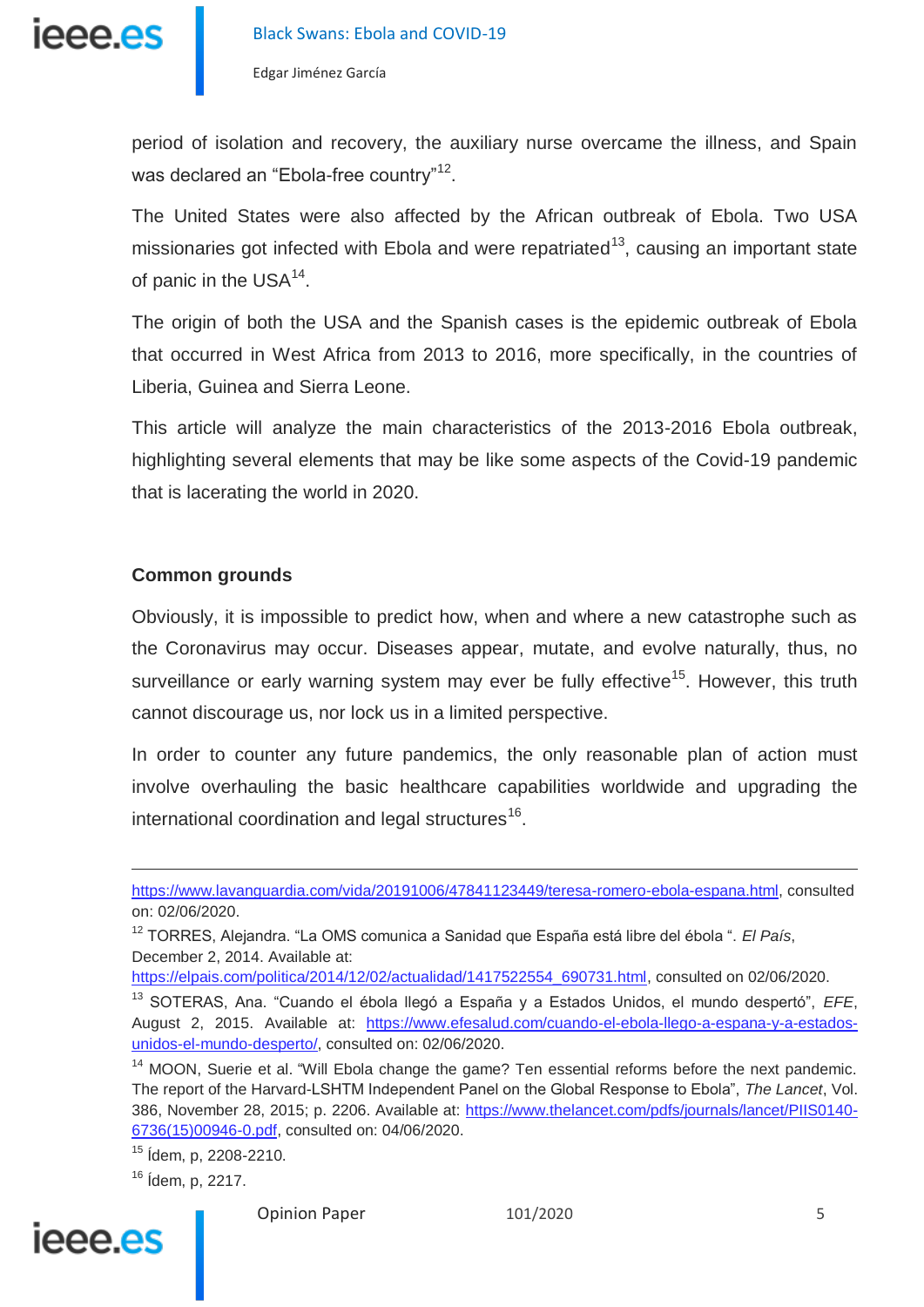

period of isolation and recovery, the auxiliary nurse overcame the illness, and Spain was declared an "Ebola-free country"<sup>12</sup>.

The United States were also affected by the African outbreak of Ebola. Two USA missionaries got infected with Ebola and were repatriated<sup>13</sup>, causing an important state of panic in the USA $^{14}$ .

The origin of both the USA and the Spanish cases is the epidemic outbreak of Ebola that occurred in West Africa from 2013 to 2016, more specifically, in the countries of Liberia, Guinea and Sierra Leone.

This article will analyze the main characteristics of the 2013-2016 Ebola outbreak, highlighting several elements that may be like some aspects of the Covid-19 pandemic that is lacerating the world in 2020.

#### **Common grounds**

Obviously, it is impossible to predict how, when and where a new catastrophe such as the Coronavirus may occur. Diseases appear, mutate, and evolve naturally, thus, no surveillance or early warning system may ever be fully effective<sup>15</sup>. However, this truth cannot discourage us, nor lock us in a limited perspective.

In order to counter any future pandemics, the only reasonable plan of action must involve overhauling the basic healthcare capabilities worldwide and upgrading the international coordination and legal structures<sup>16</sup>.

<sup>16</sup> Ídem, p, 2217.



 $\overline{a}$ 

[https://www.lavanguardia.com/vida/20191006/47841123449/teresa-romero-ebola-espana.html,](https://www.lavanguardia.com/vida/20191006/47841123449/teresa-romero-ebola-espana.html) consulted on: 02/06/2020.

<sup>12</sup> TORRES, Alejandra. "La OMS comunica a Sanidad que España está libre del ébola ". *El País*, December 2, 2014. Available at:

[https://elpais.com/politica/2014/12/02/actualidad/1417522554\\_690731.html,](https://elpais.com/politica/2014/12/02/actualidad/1417522554_690731.html) consulted on 02/06/2020.

<sup>13</sup> SOTERAS, Ana. "Cuando el ébola llegó a España y a Estados Unidos, el mundo despertó", *EFE*, August 2, 2015. Available at: [https://www.efesalud.com/cuando-el-ebola-llego-a-espana-y-a-estados](https://www.efesalud.com/cuando-el-ebola-llego-a-espana-y-a-estados-unidos-el-mundo-desperto/)[unidos-el-mundo-desperto/,](https://www.efesalud.com/cuando-el-ebola-llego-a-espana-y-a-estados-unidos-el-mundo-desperto/) consulted on: 02/06/2020.

<sup>&</sup>lt;sup>14</sup> MOON, Suerie et al. "Will Ebola change the game? Ten essential reforms before the next pandemic. The report of the Harvard-LSHTM Independent Panel on the Global Response to Ebola", *The Lancet*, Vol. 386, November 28, 2015; p. 2206. Available at: [https://www.thelancet.com/pdfs/journals/lancet/PIIS0140-](https://www.thelancet.com/pdfs/journals/lancet/PIIS0140-6736(15)00946-0.pdf) [6736\(15\)00946-0.pdf,](https://www.thelancet.com/pdfs/journals/lancet/PIIS0140-6736(15)00946-0.pdf) consulted on: 04/06/2020.

<sup>15</sup> Ídem, p, 2208-2210.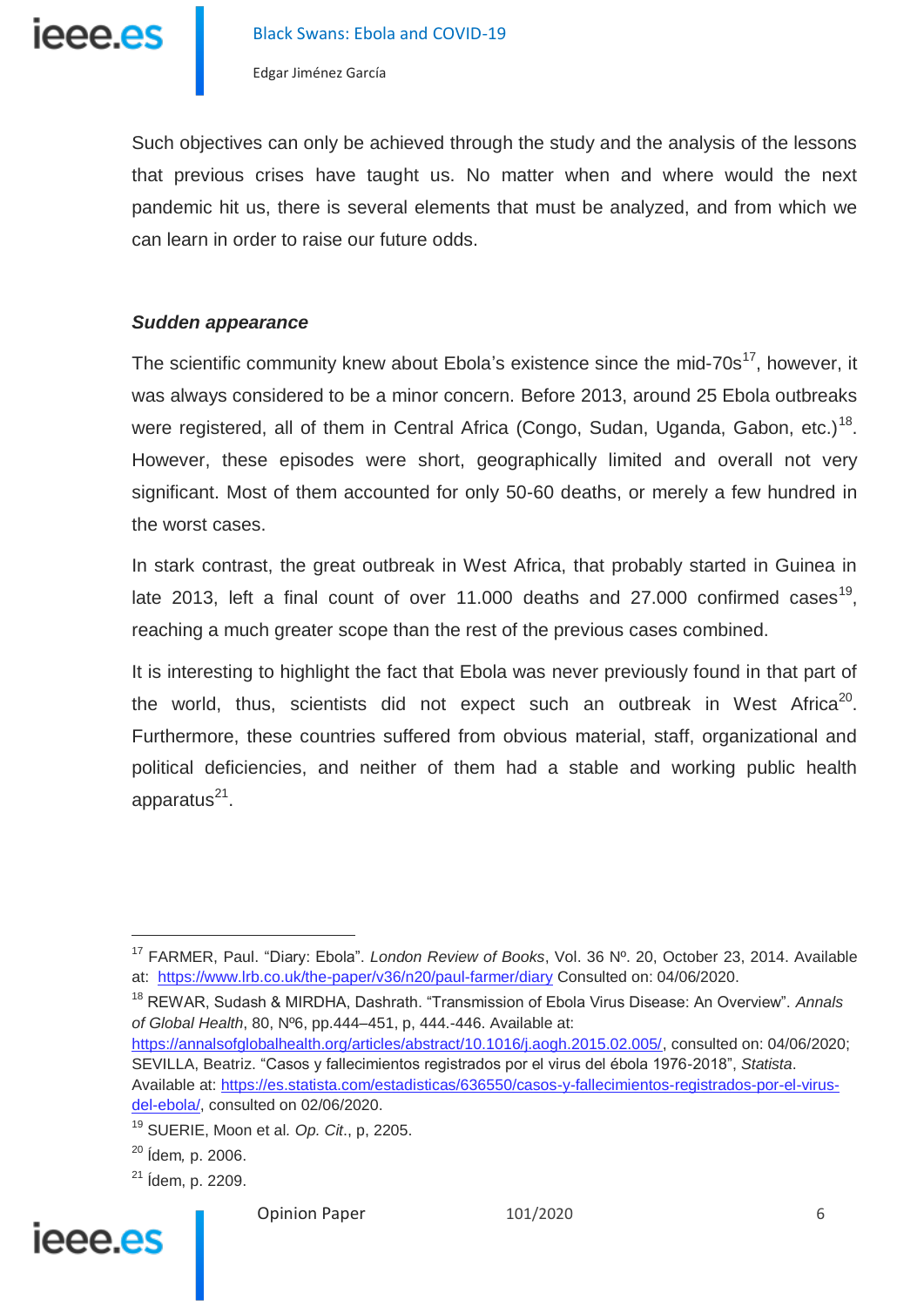ieee.es

Edgar Jiménez García

Such objectives can only be achieved through the study and the analysis of the lessons that previous crises have taught us. No matter when and where would the next pandemic hit us, there is several elements that must be analyzed, and from which we can learn in order to raise our future odds.

#### *Sudden appearance*

The scientific community knew about Ebola's existence since the mid-70s<sup>17</sup>, however, it was always considered to be a minor concern. Before 2013, around 25 Ebola outbreaks were registered, all of them in Central Africa (Congo, Sudan, Uganda, Gabon, etc.)<sup>18</sup>. However, these episodes were short, geographically limited and overall not very significant. Most of them accounted for only 50-60 deaths, or merely a few hundred in the worst cases.

In stark contrast, the great outbreak in West Africa, that probably started in Guinea in late 2013, left a final count of over 11.000 deaths and 27.000 confirmed cases<sup>19</sup>, reaching a much greater scope than the rest of the previous cases combined.

It is interesting to highlight the fact that Ebola was never previously found in that part of the world, thus, scientists did not expect such an outbreak in West Africa<sup>20</sup>. Furthermore, these countries suffered from obvious material, staff, organizational and political deficiencies, and neither of them had a stable and working public health apparatus<sup>21</sup>.

<sup>18</sup> REWAR, Sudash & MIRDHA, Dashrath. "Transmission of Ebola Virus Disease: An Overview". *Annals of Global Health*, 80, Nº6, pp.444–451, p, 444.-446. Available at: [https://annalsofglobalhealth.org/articles/abstract/10.1016/j.aogh.2015.02.005/,](https://annalsofglobalhealth.org/articles/abstract/10.1016/j.aogh.2015.02.005/) consulted on: 04/06/2020;

SEVILLA, Beatriz. "Casos y fallecimientos registrados por el virus del ébola 1976-2018", *Statista*. Available at: [https://es.statista.com/estadisticas/636550/casos-y-fallecimientos-registrados-por-el-virus](https://es.statista.com/estadisticas/636550/casos-y-fallecimientos-registrados-por-el-virus-del-ebola/)[del-ebola/,](https://es.statista.com/estadisticas/636550/casos-y-fallecimientos-registrados-por-el-virus-del-ebola/) consulted on 02/06/2020.

 $21$  *idem, p. 2209.* 



 $\overline{a}$ 

<sup>17</sup> FARMER, Paul. "Diary: Ebola". *London Review of Books*, Vol. 36 Nº. 20, October 23, 2014. Available at: <https://www.lrb.co.uk/the-paper/v36/n20/paul-farmer/diary> Consulted on: 04/06/2020.

<sup>19</sup> SUERIE, Moon et al*. Op. Cit*., p, 2205.

<sup>20</sup> Ídem*,* p. 2006.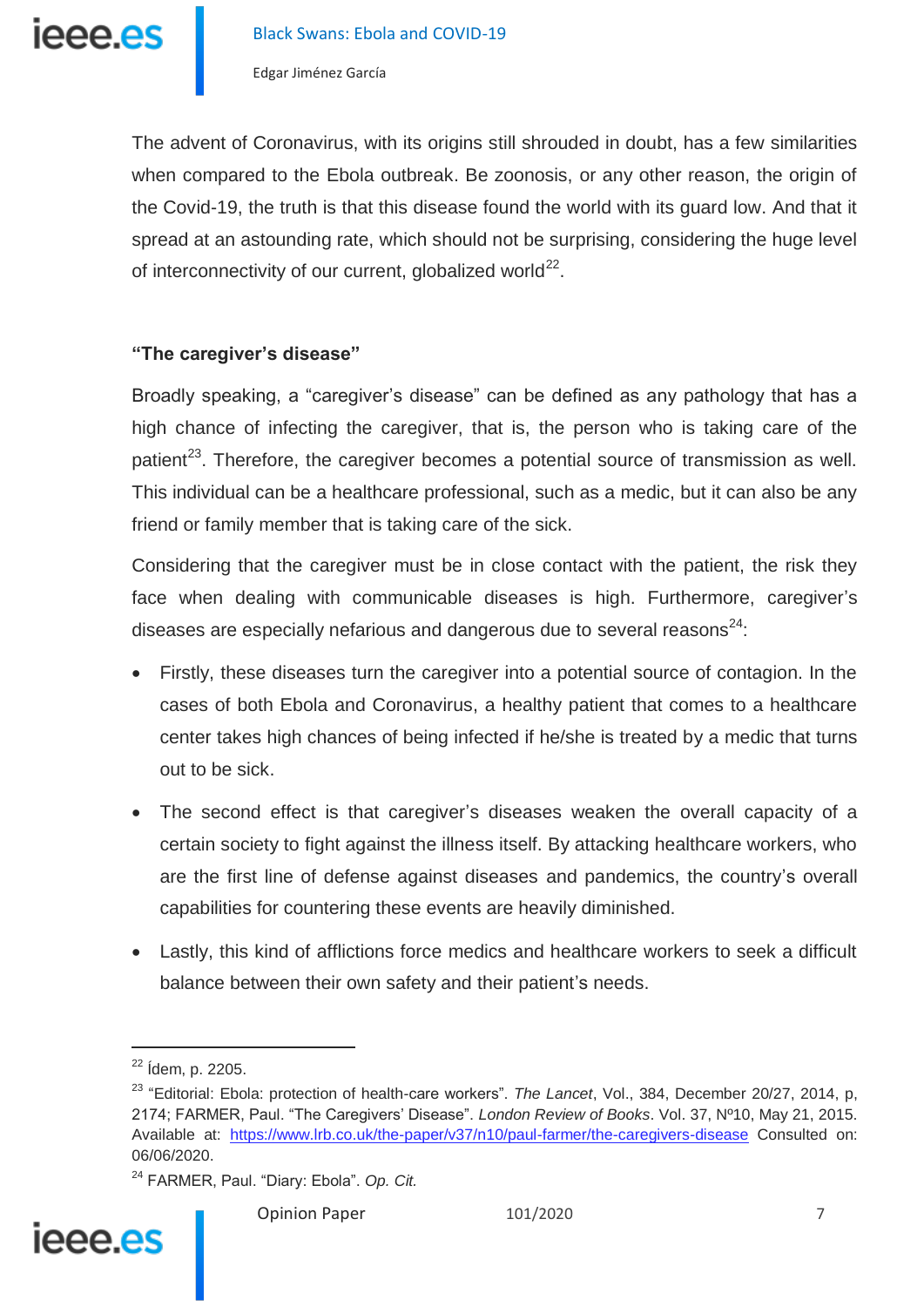ieee.es

Edgar Jiménez García

The advent of Coronavirus, with its origins still shrouded in doubt, has a few similarities when compared to the Ebola outbreak. Be zoonosis, or any other reason, the origin of the Covid-19, the truth is that this disease found the world with its guard low. And that it spread at an astounding rate, which should not be surprising, considering the huge level of interconnectivity of our current, globalized world<sup>22</sup>.

### **"The caregiver's disease"**

Broadly speaking, a "caregiver's disease" can be defined as any pathology that has a high chance of infecting the caregiver, that is, the person who is taking care of the patient $23$ . Therefore, the caregiver becomes a potential source of transmission as well. This individual can be a healthcare professional, such as a medic, but it can also be any friend or family member that is taking care of the sick.

Considering that the caregiver must be in close contact with the patient, the risk they face when dealing with communicable diseases is high. Furthermore, caregiver's diseases are especially nefarious and dangerous due to several reasons $^{24}$ .

- Firstly, these diseases turn the caregiver into a potential source of contagion. In the cases of both Ebola and Coronavirus, a healthy patient that comes to a healthcare center takes high chances of being infected if he/she is treated by a medic that turns out to be sick.
- The second effect is that caregiver's diseases weaken the overall capacity of a certain society to fight against the illness itself. By attacking healthcare workers, who are the first line of defense against diseases and pandemics, the country's overall capabilities for countering these events are heavily diminished.
- Lastly, this kind of afflictions force medics and healthcare workers to seek a difficult balance between their own safety and their patient's needs.

 $\overline{a}$ 

<sup>24</sup> FARMER, Paul. "Diary: Ebola". *Op. Cit.*



<sup>22</sup> Ídem, p. 2205.

<sup>23</sup> "Editorial: Ebola: protection of health-care workers". *The Lancet*, Vol., 384, December 20/27, 2014, p, 2174; FARMER, Paul. "The Caregivers' Disease". *London Review of Books*. Vol. 37, Nº10, May 21, 2015. Available at: <https://www.lrb.co.uk/the-paper/v37/n10/paul-farmer/the-caregivers-disease> Consulted on: 06/06/2020.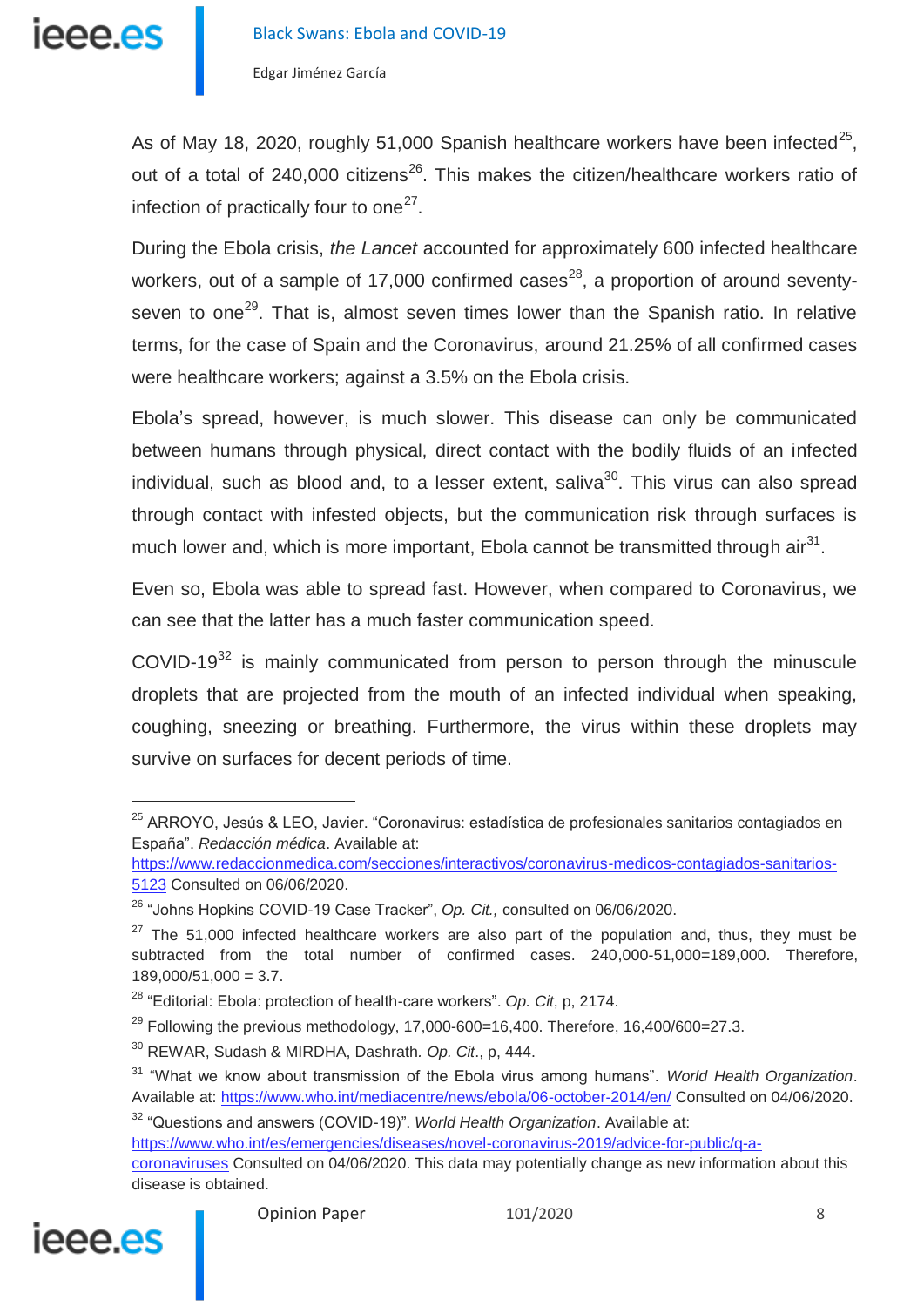

As of May 18, 2020, roughly 51,000 Spanish healthcare workers have been infected<sup>25</sup>, out of a total of  $240,000$  citizens<sup>26</sup>. This makes the citizen/healthcare workers ratio of infection of practically four to one $^{27}$ .

During the Ebola crisis, *the Lancet* accounted for approximately 600 infected healthcare workers, out of a sample of 17,000 confirmed cases<sup>28</sup>, a proportion of around seventyseven to one<sup>29</sup>. That is, almost seven times lower than the Spanish ratio. In relative terms, for the case of Spain and the Coronavirus, around 21.25% of all confirmed cases were healthcare workers; against a 3.5% on the Ebola crisis.

Ebola's spread, however, is much slower. This disease can only be communicated between humans through physical, direct contact with the bodily fluids of an infected individual, such as blood and, to a lesser extent, saliva $30$ . This virus can also spread through contact with infested objects, but the communication risk through surfaces is much lower and, which is more important, Ebola cannot be transmitted through air $^{31}$ .

Even so, Ebola was able to spread fast. However, when compared to Coronavirus, we can see that the latter has a much faster communication speed.

COVID-19 $32$  is mainly communicated from person to person through the minuscule droplets that are projected from the mouth of an infected individual when speaking, coughing, sneezing or breathing. Furthermore, the virus within these droplets may survive on surfaces for decent periods of time.

[coronaviruses](https://www.who.int/es/emergencies/diseases/novel-coronavirus-2019/advice-for-public/q-a-coronaviruses) Consulted on 04/06/2020. This data may potentially change as new information about this disease is obtained.



<sup>&</sup>lt;sup>25</sup> ARROYO, Jesús & LEO, Javier. "Coronavirus: estadística de profesionales sanitarios contagiados en España". *Redacción médica*. Available at:

[https://www.redaccionmedica.com/secciones/interactivos/coronavirus-medicos-contagiados-sanitarios-](https://www.redaccionmedica.com/secciones/interactivos/coronavirus-medicos-contagiados-sanitarios-5123)[5123](https://www.redaccionmedica.com/secciones/interactivos/coronavirus-medicos-contagiados-sanitarios-5123) Consulted on 06/06/2020.

<sup>26</sup> "Johns Hopkins COVID-19 Case Tracker", *Op. Cit.,* consulted on 06/06/2020.

 $27$  The 51,000 infected healthcare workers are also part of the population and, thus, they must be subtracted from the total number of confirmed cases. 240,000-51,000=189,000. Therefore,  $189,000/51,000 = 3.7.$ 

<sup>28</sup> "Editorial: Ebola: protection of health-care workers". *Op. Cit*, p, 2174.

 $^{29}$  Following the previous methodology, 17,000-600=16,400. Therefore, 16,400/600=27.3.

<sup>30</sup> REWAR, Sudash & MIRDHA, Dashrath*. Op. Cit*., p, 444.

<sup>31</sup> "What we know about transmission of the Ebola virus among humans". *World Health Organization*. Available at:<https://www.who.int/mediacentre/news/ebola/06-october-2014/en/> Consulted on 04/06/2020.

<sup>32</sup> "Questions and answers (COVID-19)". *World Health Organization*. Available at:

[https://www.who.int/es/emergencies/diseases/novel-coronavirus-2019/advice-for-public/q-a-](https://www.who.int/es/emergencies/diseases/novel-coronavirus-2019/advice-for-public/q-a-coronaviruses)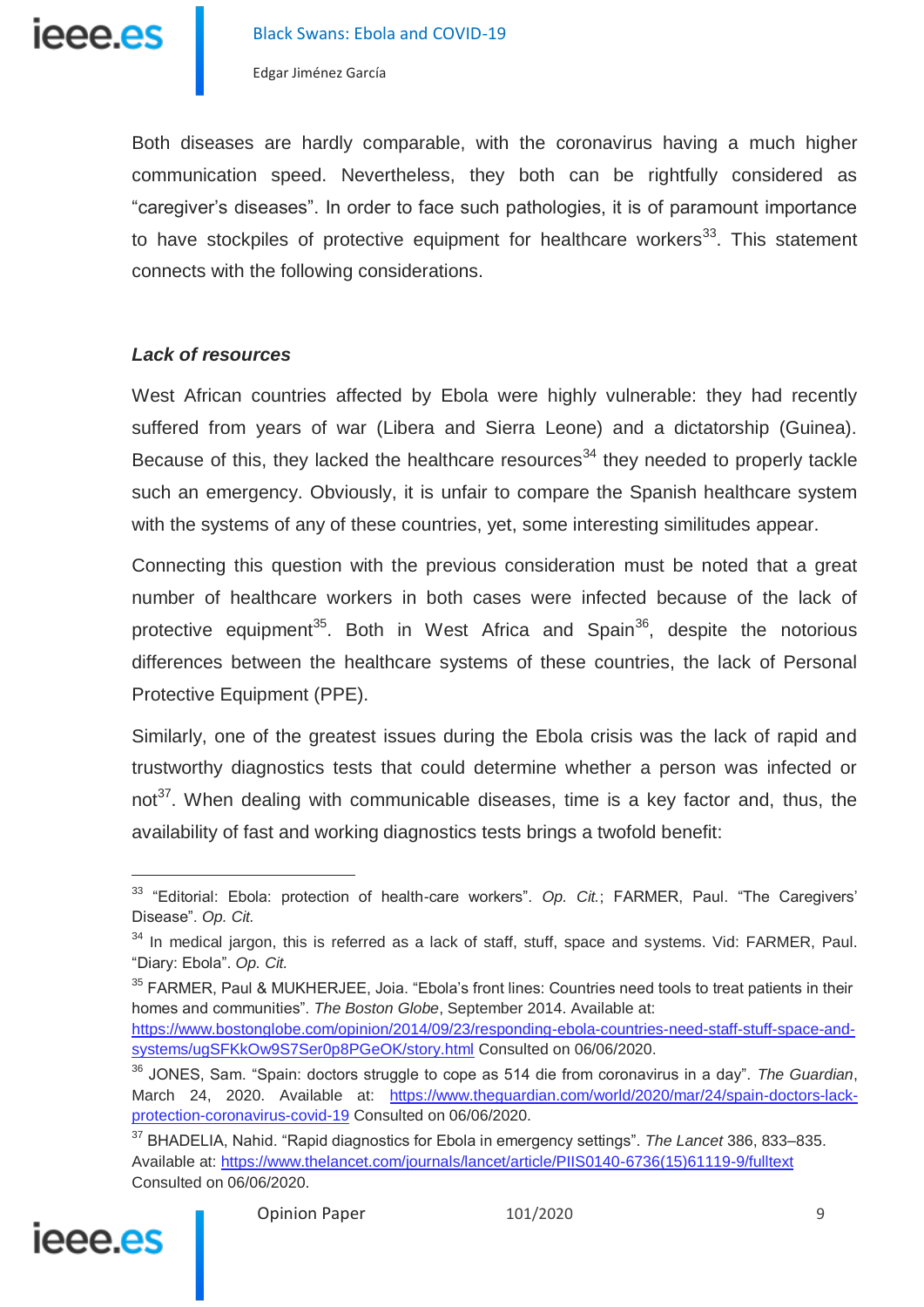

Both diseases are hardly comparable, with the coronavirus having a much higher communication speed. Nevertheless, they both can be rightfully considered as "caregiver's diseases". In order to face such pathologies, it is of paramount importance to have stockpiles of protective equipment for healthcare workers<sup>33</sup>. This statement connects with the following considerations.

#### *Lack of resources*

West African countries affected by Ebola were highly vulnerable: they had recently suffered from years of war (Libera and Sierra Leone) and a dictatorship (Guinea). Because of this, they lacked the healthcare resources<sup>34</sup> they needed to properly tackle such an emergency. Obviously, it is unfair to compare the Spanish healthcare system with the systems of any of these countries, yet, some interesting similitudes appear.

Connecting this question with the previous consideration must be noted that a great number of healthcare workers in both cases were infected because of the lack of protective equipment<sup>35</sup>. Both in West Africa and Spain<sup>36</sup>, despite the notorious differences between the healthcare systems of these countries, the lack of Personal Protective Equipment (PPE).

Similarly, one of the greatest issues during the Ebola crisis was the lack of rapid and trustworthy diagnostics tests that could determine whether a person was infected or not<sup>37</sup>. When dealing with communicable diseases, time is a key factor and, thus, the availability of fast and working diagnostics tests brings a twofold benefit:

<sup>37</sup> BHADELIA, Nahid. "Rapid diagnostics for Ebola in emergency settings". *The Lancet* 386, 833–835. Available at: [https://www.thelancet.com/journals/lancet/article/PIIS0140-6736\(15\)61119-9/fulltext](https://www.thelancet.com/journals/lancet/article/PIIS0140-6736(15)61119-9/fulltext) Consulted on 06/06/2020.



j

<sup>33</sup> "Editorial: Ebola: protection of health-care workers". *Op. Cit.*; FARMER, Paul. "The Caregivers' Disease". *Op. Cit.*

<sup>&</sup>lt;sup>34</sup> In medical jargon, this is referred as a lack of staff, stuff, space and systems. Vid: FARMER, Paul. "Diary: Ebola". *Op. Cit.*

<sup>&</sup>lt;sup>35</sup> FARMER, Paul & MUKHERJEE, Joia. "Ebola's front lines: Countries need tools to treat patients in their homes and communities". *The Boston Globe*, September 2014. Available at: [https://www.bostonglobe.com/opinion/2014/09/23/responding-ebola-countries-need-staff-stuff-space-and](https://www.bostonglobe.com/opinion/2014/09/23/responding-ebola-countries-need-staff-stuff-space-and-systems/ugSFKkOw9S7Ser0p8PGeOK/story.html)[systems/ugSFKkOw9S7Ser0p8PGeOK/story.html](https://www.bostonglobe.com/opinion/2014/09/23/responding-ebola-countries-need-staff-stuff-space-and-systems/ugSFKkOw9S7Ser0p8PGeOK/story.html) Consulted on 06/06/2020.

<sup>36</sup> JONES, Sam. "Spain: doctors struggle to cope as 514 die from coronavirus in a day". *The Guardian*, March 24, 2020. Available at: [https://www.theguardian.com/world/2020/mar/24/spain-doctors-lack](https://www.theguardian.com/world/2020/mar/24/spain-doctors-lack-protection-coronavirus-covid-19)[protection-coronavirus-covid-19](https://www.theguardian.com/world/2020/mar/24/spain-doctors-lack-protection-coronavirus-covid-19) Consulted on 06/06/2020.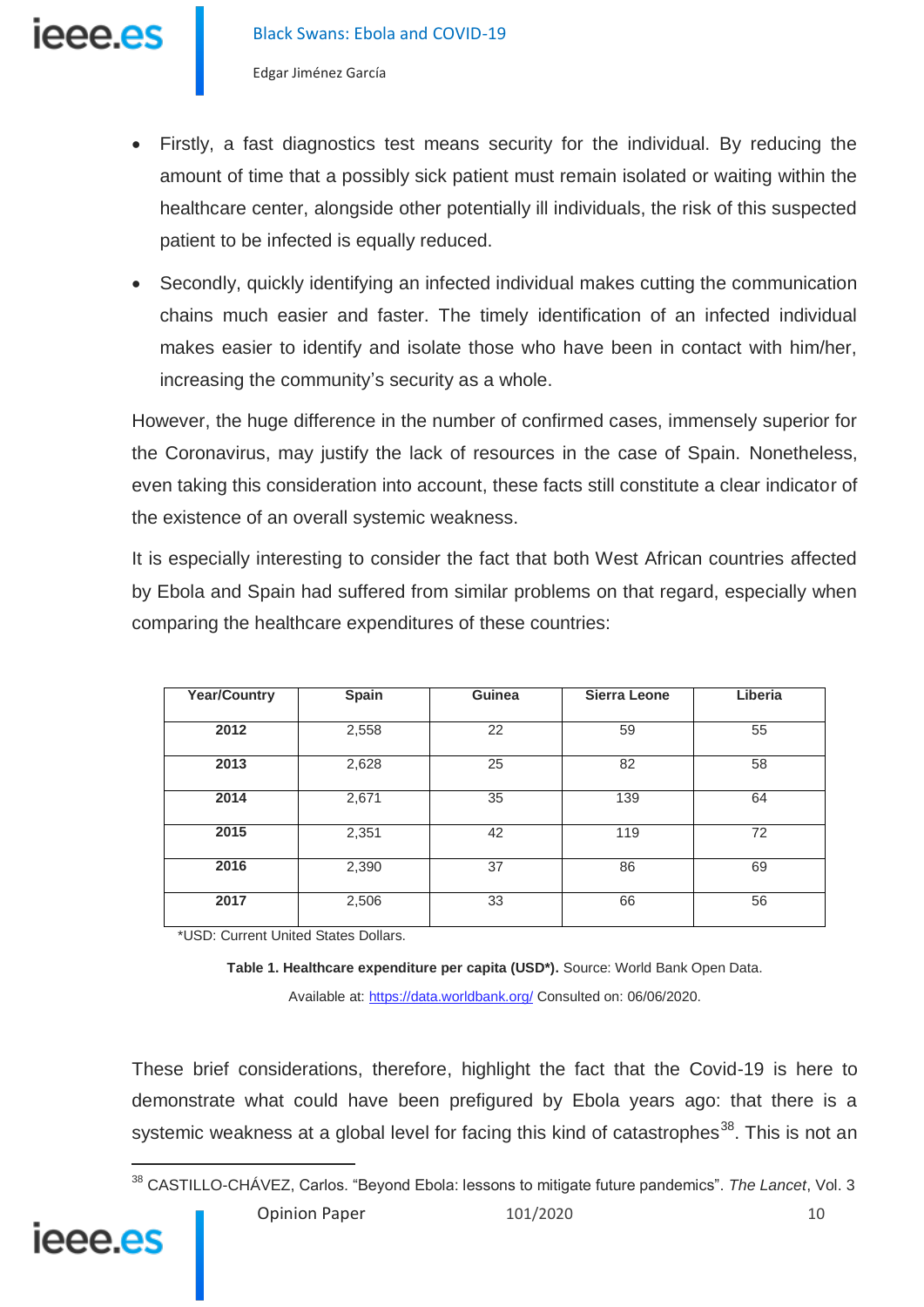- Firstly, a fast diagnostics test means security for the individual. By reducing the amount of time that a possibly sick patient must remain isolated or waiting within the healthcare center, alongside other potentially ill individuals, the risk of this suspected patient to be infected is equally reduced.
- Secondly, quickly identifying an infected individual makes cutting the communication chains much easier and faster. The timely identification of an infected individual makes easier to identify and isolate those who have been in contact with him/her, increasing the community's security as a whole.

However, the huge difference in the number of confirmed cases, immensely superior for the Coronavirus, may justify the lack of resources in the case of Spain. Nonetheless, even taking this consideration into account, these facts still constitute a clear indicator of the existence of an overall systemic weakness.

It is especially interesting to consider the fact that both West African countries affected by Ebola and Spain had suffered from similar problems on that regard, especially when comparing the healthcare expenditures of these countries:

| <b>Year/Country</b> | Spain | Guinea | <b>Sierra Leone</b> | Liberia |
|---------------------|-------|--------|---------------------|---------|
| 2012                | 2,558 | 22     | 59                  | 55      |
| 2013                | 2,628 | 25     | 82                  | 58      |
| 2014                | 2,671 | 35     | 139                 | 64      |
| 2015                | 2,351 | 42     | 119                 | 72      |
| 2016                | 2,390 | 37     | 86                  | 69      |
| 2017                | 2,506 | 33     | 66                  | 56      |

\*USD: Current United States Dollars.

**Table 1. Healthcare expenditure per capita (USD\*).** Source: World Bank Open Data. Available at[: https://data.worldbank.org/](https://data.worldbank.org/) Consulted on: 06/06/2020.

These brief considerations, therefore, highlight the fact that the Covid-19 is here to demonstrate what could have been prefigured by Ebola years ago: that there is a systemic weakness at a global level for facing this kind of catastrophes<sup>38</sup>. This is not an

 $\overline{a}$ 

ieee es

<sup>38</sup> CASTILLO-CHÁVEZ, Carlos. "Beyond Ebola: lessons to mitigate future pandemics". *The Lancet*, Vol. 3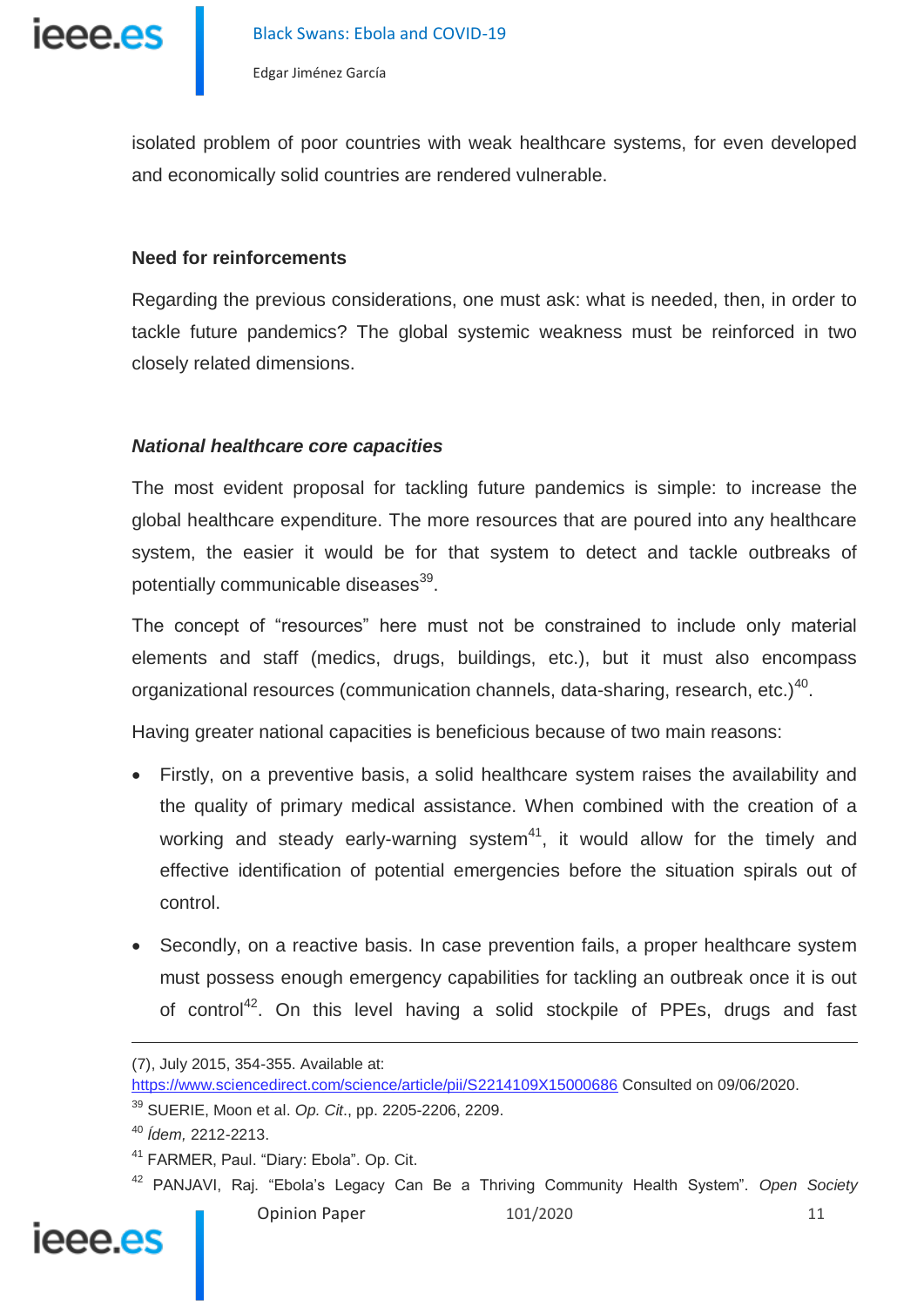ieee.es

Edgar Jiménez García

isolated problem of poor countries with weak healthcare systems, for even developed and economically solid countries are rendered vulnerable.

#### **Need for reinforcements**

Regarding the previous considerations, one must ask: what is needed, then, in order to tackle future pandemics? The global systemic weakness must be reinforced in two closely related dimensions.

### *National healthcare core capacities*

The most evident proposal for tackling future pandemics is simple: to increase the global healthcare expenditure. The more resources that are poured into any healthcare system, the easier it would be for that system to detect and tackle outbreaks of potentially communicable diseases<sup>39</sup>.

The concept of "resources" here must not be constrained to include only material elements and staff (medics, drugs, buildings, etc.), but it must also encompass organizational resources (communication channels, data-sharing, research, etc.) $^{40}$ .

Having greater national capacities is beneficious because of two main reasons:

- Firstly, on a preventive basis, a solid healthcare system raises the availability and the quality of primary medical assistance. When combined with the creation of a working and steady early-warning system<sup>41</sup>, it would allow for the timely and effective identification of potential emergencies before the situation spirals out of control.
- Secondly, on a reactive basis. In case prevention fails, a proper healthcare system must possess enough emergency capabilities for tackling an outbreak once it is out of control<sup>42</sup>. On this level having a solid stockpile of PPEs, drugs and fast

Opinion Paper 101/2020 11 <sup>42</sup> PANJAVI, Raj. "Ebola's Legacy Can Be a Thriving Community Health System". *Open Society* 



<sup>(7),</sup> July 2015, 354-355. Available at:

<https://www.sciencedirect.com/science/article/pii/S2214109X15000686> Consulted on 09/06/2020.

<sup>39</sup> SUERIE, Moon et al. *Op. Cit*., pp. 2205-2206, 2209.

<sup>40</sup> *Ídem,* 2212-2213.

<sup>&</sup>lt;sup>41</sup> FARMER, Paul. "Diary: Ebola". Op. Cit.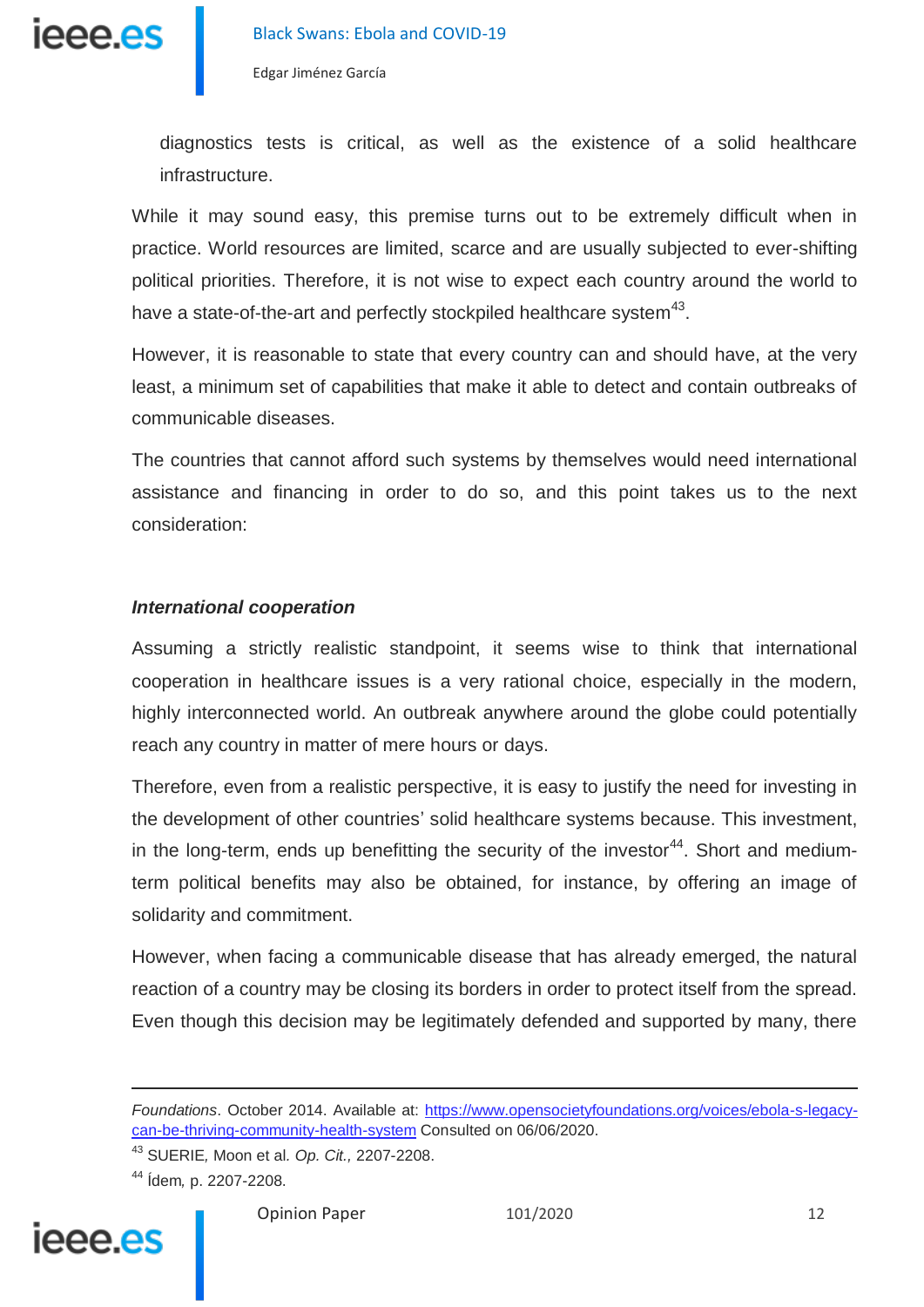

diagnostics tests is critical, as well as the existence of a solid healthcare infrastructure.

While it may sound easy, this premise turns out to be extremely difficult when in practice. World resources are limited, scarce and are usually subjected to ever-shifting political priorities. Therefore, it is not wise to expect each country around the world to have a state-of-the-art and perfectly stockpiled healthcare system $43$ .

However, it is reasonable to state that every country can and should have, at the very least, a minimum set of capabilities that make it able to detect and contain outbreaks of communicable diseases.

The countries that cannot afford such systems by themselves would need international assistance and financing in order to do so, and this point takes us to the next consideration:

#### *International cooperation*

Assuming a strictly realistic standpoint, it seems wise to think that international cooperation in healthcare issues is a very rational choice, especially in the modern, highly interconnected world. An outbreak anywhere around the globe could potentially reach any country in matter of mere hours or days.

Therefore, even from a realistic perspective, it is easy to justify the need for investing in the development of other countries' solid healthcare systems because. This investment, in the long-term, ends up benefitting the security of the investor<sup>44</sup>. Short and mediumterm political benefits may also be obtained, for instance, by offering an image of solidarity and commitment.

However, when facing a communicable disease that has already emerged, the natural reaction of a country may be closing its borders in order to protect itself from the spread. Even though this decision may be legitimately defended and supported by many, there

<sup>43</sup> SUERIE*,* Moon et al*. Op. Cit.,* 2207-2208.

<sup>44</sup> Ídem*,* p. 2207-2208.



 $\overline{a}$ 

*Foundations*. October 2014. Available at: [https://www.opensocietyfoundations.org/voices/ebola-s-legacy](https://www.opensocietyfoundations.org/voices/ebola-s-legacy-can-be-thriving-community-health-system)[can-be-thriving-community-health-system](https://www.opensocietyfoundations.org/voices/ebola-s-legacy-can-be-thriving-community-health-system) Consulted on 06/06/2020.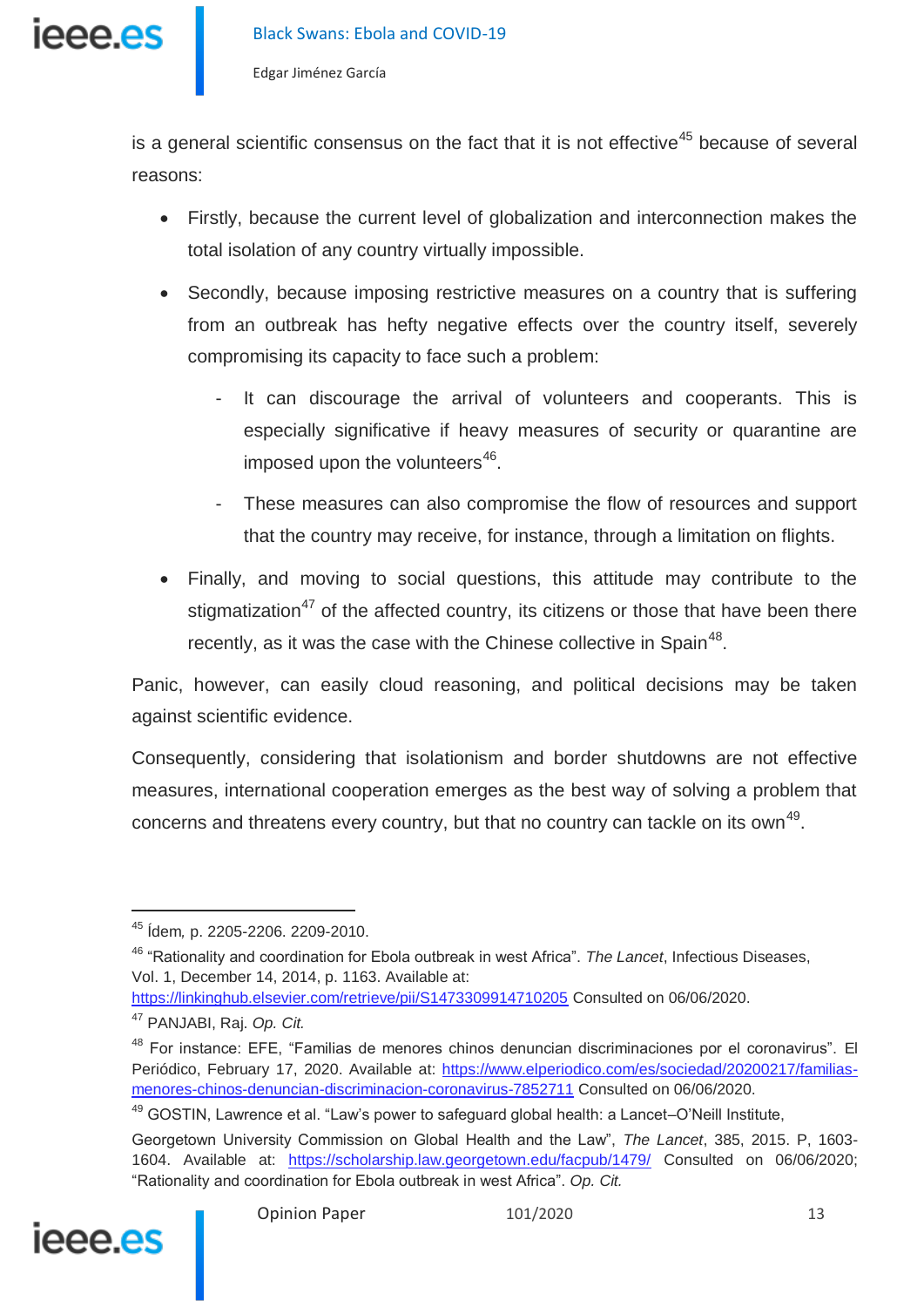

is a general scientific consensus on the fact that it is not effective<sup>45</sup> because of several reasons:

- Firstly, because the current level of globalization and interconnection makes the total isolation of any country virtually impossible.
- Secondly, because imposing restrictive measures on a country that is suffering from an outbreak has hefty negative effects over the country itself, severely compromising its capacity to face such a problem:
	- It can discourage the arrival of volunteers and cooperants. This is especially significative if heavy measures of security or quarantine are imposed upon the volunteers $^{46}$ .
	- These measures can also compromise the flow of resources and support that the country may receive, for instance, through a limitation on flights.
- Finally, and moving to social questions, this attitude may contribute to the stigmatization<sup>47</sup> of the affected country, its citizens or those that have been there recently, as it was the case with the Chinese collective in Spain<sup>48</sup>.

Panic, however, can easily cloud reasoning, and political decisions may be taken against scientific evidence.

Consequently, considering that isolationism and border shutdowns are not effective measures, international cooperation emerges as the best way of solving a problem that concerns and threatens every country, but that no country can tackle on its own<sup>49</sup>.

<https://linkinghub.elsevier.com/retrieve/pii/S1473309914710205> Consulted on 06/06/2020.

<sup>49</sup> GOSTIN, Lawrence et al. "Law's power to safeguard global health: a Lancet-O'Neill Institute,

Georgetown University Commission on Global Health and the Law", *The Lancet*, 385, 2015. P, 1603- 1604. Available at: <https://scholarship.law.georgetown.edu/facpub/1479/> Consulted on 06/06/2020; "Rationality and coordination for Ebola outbreak in west Africa". *Op. Cit.*



<sup>45</sup> Ídem*,* p. 2205-2206. 2209-2010.

<sup>46</sup> "Rationality and coordination for Ebola outbreak in west Africa". *The Lancet*, Infectious Diseases, Vol. 1, December 14, 2014, p. 1163. Available at:

<sup>47</sup> PANJABI, Raj. *Op. Cit.*

<sup>48</sup> For instance: EFE, "Familias de menores chinos denuncian discriminaciones por el coronavirus". El Periódico, February 17, 2020. Available at: [https://www.elperiodico.com/es/sociedad/20200217/familias](https://www.elperiodico.com/es/sociedad/20200217/familias-menores-chinos-denuncian-discriminacion-coronavirus-7852711)[menores-chinos-denuncian-discriminacion-coronavirus-7852711](https://www.elperiodico.com/es/sociedad/20200217/familias-menores-chinos-denuncian-discriminacion-coronavirus-7852711) Consulted on 06/06/2020.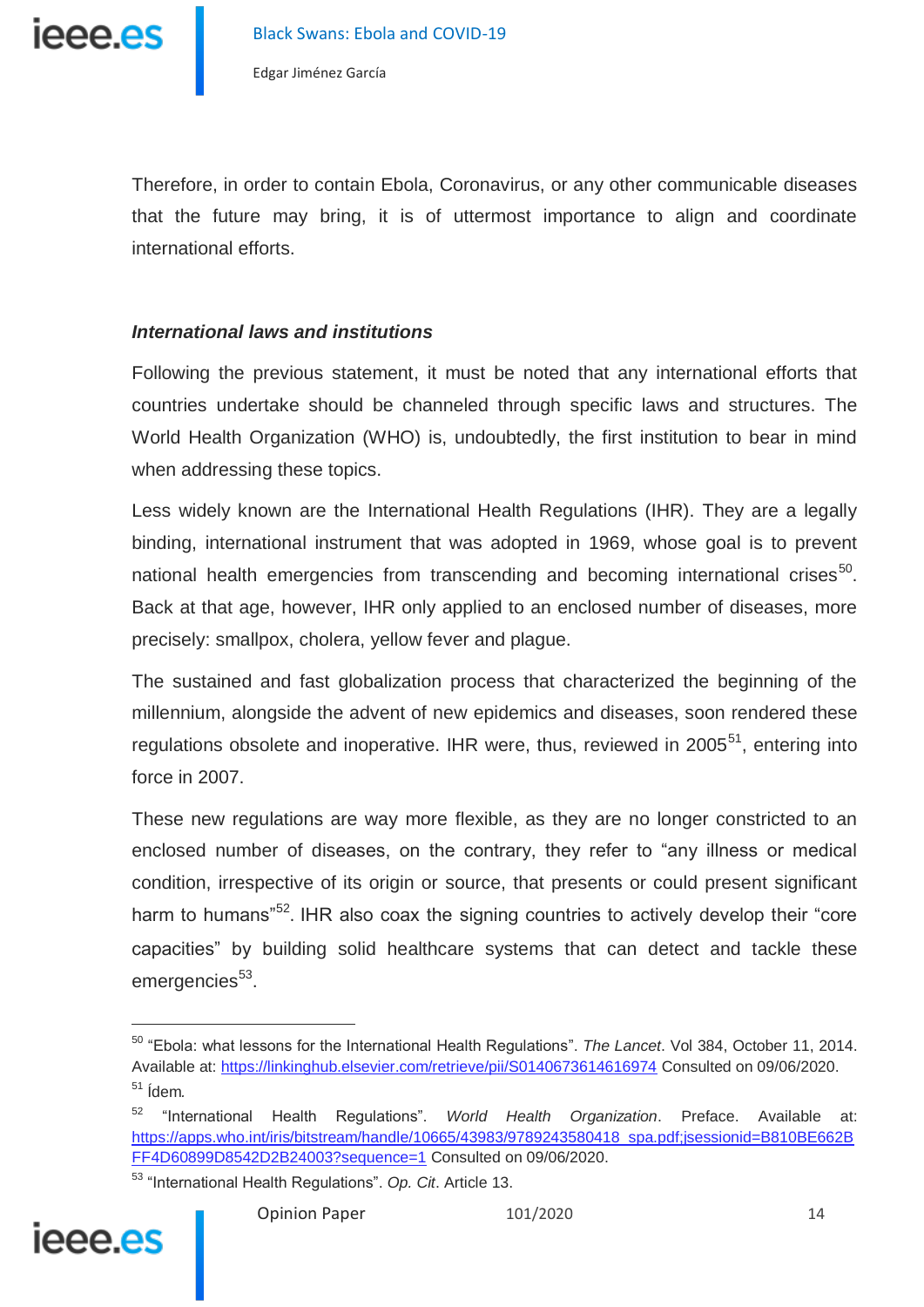Therefore, in order to contain Ebola, Coronavirus, or any other communicable diseases that the future may bring, it is of uttermost importance to align and coordinate international efforts.

### *International laws and institutions*

Following the previous statement, it must be noted that any international efforts that countries undertake should be channeled through specific laws and structures. The World Health Organization (WHO) is, undoubtedly, the first institution to bear in mind when addressing these topics.

Less widely known are the International Health Regulations (IHR). They are a legally binding, international instrument that was adopted in 1969, whose goal is to prevent national health emergencies from transcending and becoming international crises<sup>50</sup>. Back at that age, however, IHR only applied to an enclosed number of diseases, more precisely: smallpox, cholera, yellow fever and plague.

The sustained and fast globalization process that characterized the beginning of the millennium, alongside the advent of new epidemics and diseases, soon rendered these regulations obsolete and inoperative. IHR were, thus, reviewed in  $2005<sup>51</sup>$ , entering into force in 2007.

These new regulations are way more flexible, as they are no longer constricted to an enclosed number of diseases, on the contrary, they refer to "any illness or medical condition, irrespective of its origin or source, that presents or could present significant harm to humans"<sup>52</sup>. IHR also coax the signing countries to actively develop their "core capacities" by building solid healthcare systems that can detect and tackle these emergencies<sup>53</sup>.

<sup>53</sup> "International Health Regulations". *Op. Cit*. Article 13.



<sup>50</sup> "Ebola: what lessons for the International Health Regulations". *The Lancet*. Vol 384, October 11, 2014. Available at: <https://linkinghub.elsevier.com/retrieve/pii/S0140673614616974> Consulted on 09/06/2020. <sup>51</sup> Ídem*.*

<sup>52</sup> "International Health Regulations". *World Health Organization*. Preface. Available at: [https://apps.who.int/iris/bitstream/handle/10665/43983/9789243580418\\_spa.pdf;jsessionid=B810BE662B](https://apps.who.int/iris/bitstream/handle/10665/43983/9789243580418_spa.pdf;jsessionid=B810BE662BFF4D60899D8542D2B24003?sequence=1) [FF4D60899D8542D2B24003?sequence=1](https://apps.who.int/iris/bitstream/handle/10665/43983/9789243580418_spa.pdf;jsessionid=B810BE662BFF4D60899D8542D2B24003?sequence=1) Consulted on 09/06/2020.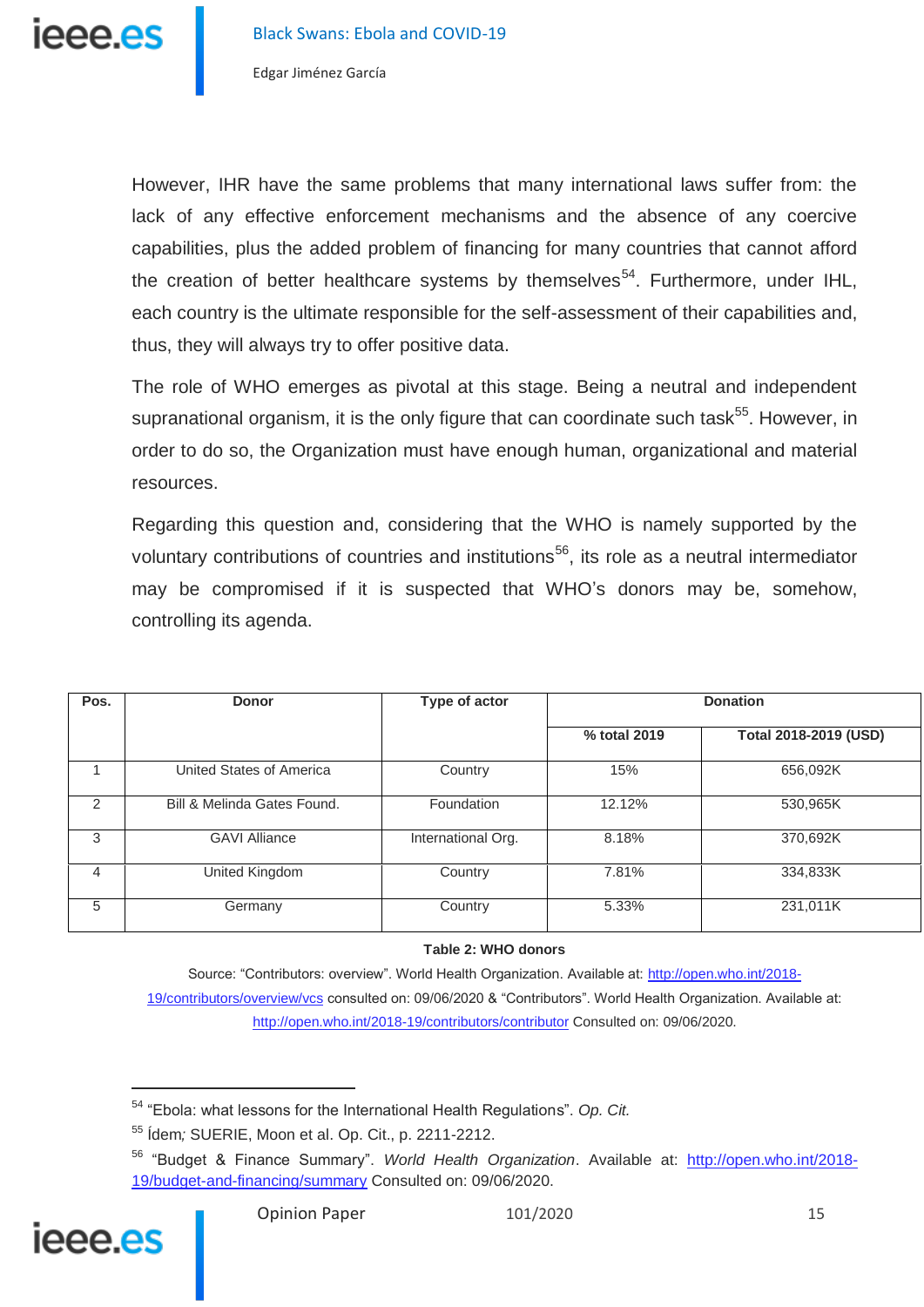

However, IHR have the same problems that many international laws suffer from: the lack of any effective enforcement mechanisms and the absence of any coercive capabilities, plus the added problem of financing for many countries that cannot afford the creation of better healthcare systems by themselves<sup>54</sup>. Furthermore, under IHL, each country is the ultimate responsible for the self-assessment of their capabilities and, thus, they will always try to offer positive data.

The role of WHO emerges as pivotal at this stage. Being a neutral and independent supranational organism, it is the only figure that can coordinate such task<sup>55</sup>. However, in order to do so, the Organization must have enough human, organizational and material resources.

Regarding this question and, considering that the WHO is namely supported by the voluntary contributions of countries and institutions<sup>56</sup>, its role as a neutral intermediator may be compromised if it is suspected that WHO's donors may be, somehow, controlling its agenda.

| Pos.          | <b>Donor</b>                | Type of actor      | <b>Donation</b> |                       |
|---------------|-----------------------------|--------------------|-----------------|-----------------------|
|               |                             |                    | % total 2019    | Total 2018-2019 (USD) |
|               | United States of America    | Country            | 15%             | 656,092K              |
| $\mathcal{P}$ | Bill & Melinda Gates Found. | Foundation         | 12.12%          | 530,965K              |
| 3             | <b>GAVI Alliance</b>        | International Org. | 8.18%           | 370,692K              |
| 4             | United Kingdom              | Country            | 7.81%           | 334,833K              |
| 5             | Germany                     | Country            | 5.33%           | 231,011K              |

#### **Table 2: WHO donors**

Source: "Contributors: overview". World Health Organization. Available at: [http://open.who.int/2018-](http://open.who.int/2018-19/contributors/overview/vcs) [19/contributors/overview/vcs](http://open.who.int/2018-19/contributors/overview/vcs) consulted on: 09/06/2020 & "Contributors". World Health Organization. Available at: <http://open.who.int/2018-19/contributors/contributor> Consulted on: 09/06/2020.

<sup>56</sup> "Budget & Finance Summary". *World Health Organization*. Available at: [http://open.who.int/2018-](http://open.who.int/2018-19/budget-and-financing/summary) [19/budget-and-financing/summary](http://open.who.int/2018-19/budget-and-financing/summary) Consulted on: 09/06/2020.



<sup>54</sup> "Ebola: what lessons for the International Health Regulations". *Op. Cit.*

<sup>55</sup> Ídem*;* SUERIE, Moon et al. Op. Cit., p. 2211-2212.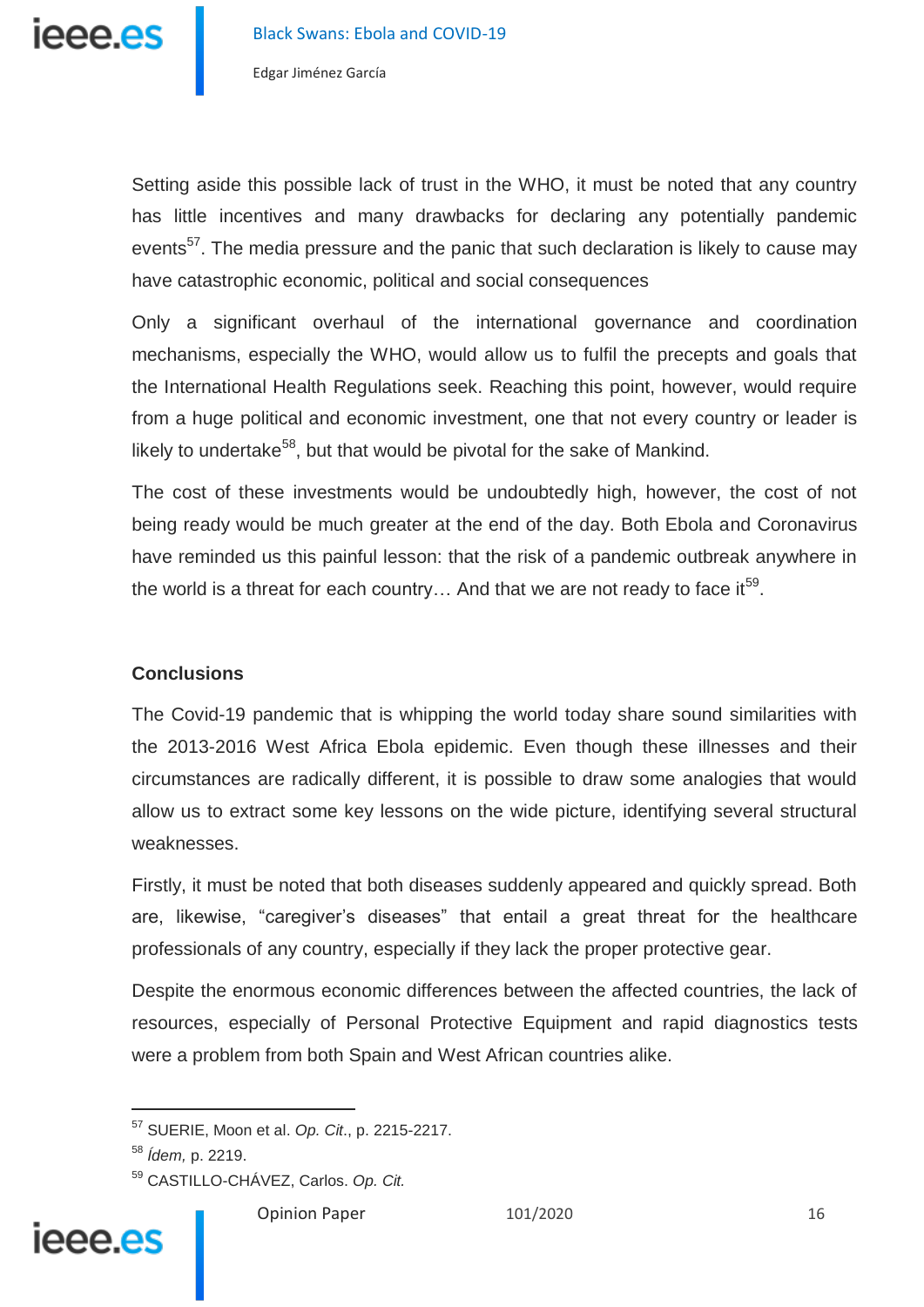

Setting aside this possible lack of trust in the WHO, it must be noted that any country has little incentives and many drawbacks for declaring any potentially pandemic events<sup>57</sup>. The media pressure and the panic that such declaration is likely to cause may have catastrophic economic, political and social consequences

Only a significant overhaul of the international governance and coordination mechanisms, especially the WHO, would allow us to fulfil the precepts and goals that the International Health Regulations seek. Reaching this point, however, would require from a huge political and economic investment, one that not every country or leader is likely to undertake<sup>58</sup>, but that would be pivotal for the sake of Mankind.

The cost of these investments would be undoubtedly high, however, the cost of not being ready would be much greater at the end of the day. Both Ebola and Coronavirus have reminded us this painful lesson: that the risk of a pandemic outbreak anywhere in the world is a threat for each country... And that we are not ready to face it<sup>59</sup>.

## **Conclusions**

The Covid-19 pandemic that is whipping the world today share sound similarities with the 2013-2016 West Africa Ebola epidemic. Even though these illnesses and their circumstances are radically different, it is possible to draw some analogies that would allow us to extract some key lessons on the wide picture, identifying several structural weaknesses.

Firstly, it must be noted that both diseases suddenly appeared and quickly spread. Both are, likewise, "caregiver's diseases" that entail a great threat for the healthcare professionals of any country, especially if they lack the proper protective gear.

Despite the enormous economic differences between the affected countries, the lack of resources, especially of Personal Protective Equipment and rapid diagnostics tests were a problem from both Spain and West African countries alike.

j

<sup>57</sup> SUERIE, Moon et al. *Op. Cit*., p. 2215-2217.

<sup>58</sup> *Ídem,* p. 2219.

<sup>59</sup> CASTILLO-CHÁVEZ, Carlos. *Op. Cit.*